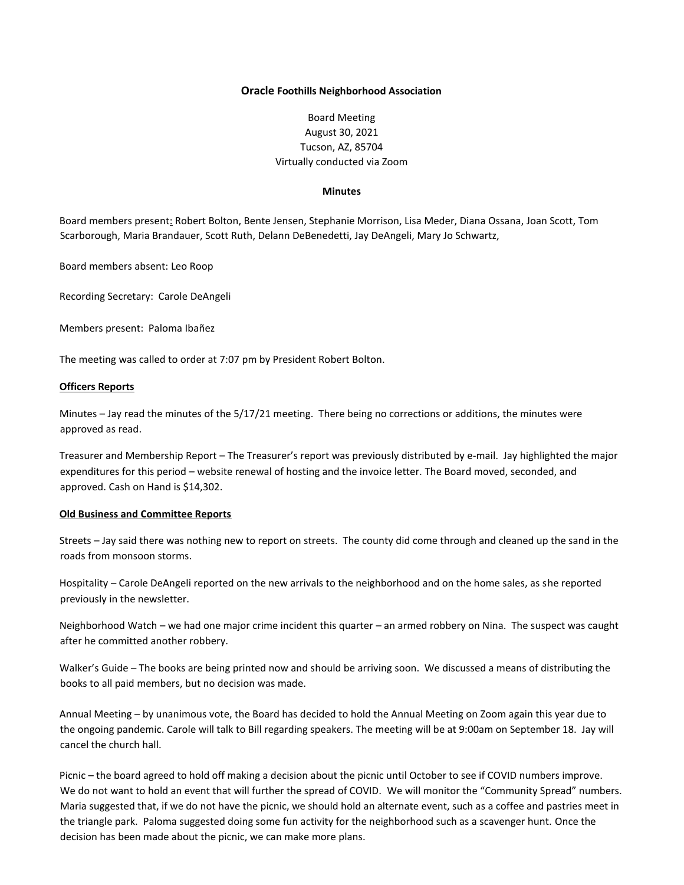### **Oracle Foothills Neighborhood Association**

# Board Meeting August 30, 2021 Tucson, AZ, 85704 Virtually conducted via Zoom

#### **Minutes**

Board members present: Robert Bolton, Bente Jensen, Stephanie Morrison, Lisa Meder, Diana Ossana, Joan Scott, Tom Scarborough, Maria Brandauer, Scott Ruth, Delann DeBenedetti, Jay DeAngeli, Mary Jo Schwartz,

Board members absent: Leo Roop

Recording Secretary: Carole DeAngeli

Members present: Paloma Ibañez

The meeting was called to order at 7:07 pm by President Robert Bolton.

## **Officers Reports**

Minutes – Jay read the minutes of the 5/17/21 meeting. There being no corrections or additions, the minutes were approved as read.

Treasurer and Membership Report – The Treasurer's report was previously distributed by e-mail. Jay highlighted the major expenditures for this period – website renewal of hosting and the invoice letter. The Board moved, seconded, and approved. Cash on Hand is \$14,302.

#### **Old Business and Committee Reports**

Streets – Jay said there was nothing new to report on streets. The county did come through and cleaned up the sand in the roads from monsoon storms.

Hospitality – Carole DeAngeli reported on the new arrivals to the neighborhood and on the home sales, as she reported previously in the newsletter.

Neighborhood Watch – we had one major crime incident this quarter – an armed robbery on Nina. The suspect was caught after he committed another robbery.

Walker's Guide – The books are being printed now and should be arriving soon. We discussed a means of distributing the books to all paid members, but no decision was made.

Annual Meeting – by unanimous vote, the Board has decided to hold the Annual Meeting on Zoom again this year due to the ongoing pandemic. Carole will talk to Bill regarding speakers. The meeting will be at 9:00am on September 18. Jay will cancel the church hall.

Picnic – the board agreed to hold off making a decision about the picnic until October to see if COVID numbers improve. We do not want to hold an event that will further the spread of COVID. We will monitor the "Community Spread" numbers. Maria suggested that, if we do not have the picnic, we should hold an alternate event, such as a coffee and pastries meet in the triangle park. Paloma suggested doing some fun activity for the neighborhood such as a scavenger hunt. Once the decision has been made about the picnic, we can make more plans.